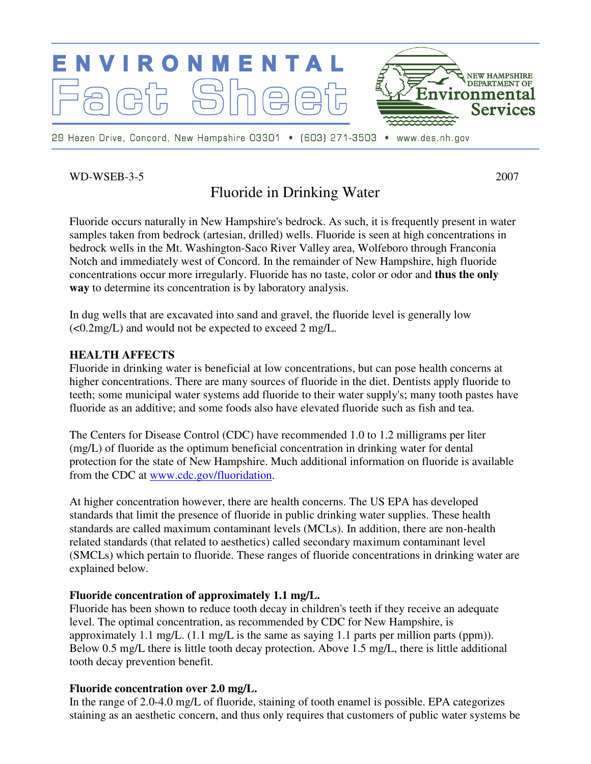

#### WD-WSEB-3-5 2007

# Fluoride in Drinking Water

Fluoride occurs naturally in New Hampshire's bedrock. As such, it is frequently present in water samples taken from bedrock (artesian, drilled) wells. Fluoride is seen at high concentrations in bedrock wells in the Mt. Washington-Saco River Valley area, Wolfeboro through Franconia Notch and immediately west of Concord. In the remainder of New Hampshire, high fluoride concentrations occur more irregularly. Fluoride has no taste, color or odor and **thus the only way** to determine its concentration is by laboratory analysis.

In dug wells that are excavated into sand and gravel, the fluoride level is generally low (<0.2mg/L) and would not be expected to exceed 2 mg/L.

## **HEALTH AFFECTS**

Fluoride in drinking water is beneficial at low concentrations, but can pose health concerns at higher concentrations. There are many sources of fluoride in the diet. Dentists apply fluoride to teeth; some municipal water systems add fluoride to their water supply's; many tooth pastes have fluoride as an additive; and some foods also have elevated fluoride such as fish and tea.

The Centers for Disease Control (CDC) have recommended 1.0 to 1.2 milligrams per liter (mg/L) of fluoride as the optimum beneficial concentration in drinking water for dental protection for the state of New Hampshire. Much additional information on fluoride is available from the CDC at www.cdc.gov/fluoridation.

At higher concentration however, there are health concerns. The US EPA has developed standards that limit the presence of fluoride in public drinking water supplies. These health standards are called maximum contaminant levels (MCLs). In addition, there are non-health related standards (that related to aesthetics) called secondary maximum contaminant level (SMCLs) which pertain to fluoride. These ranges of fluoride concentrations in drinking water are explained below.

#### **Fluoride concentration of approximately 1.1 mg/L.**

Fluoride has been shown to reduce tooth decay in children's teeth if they receive an adequate level. The optimal concentration, as recommended by CDC for New Hampshire, is approximately 1.1 mg/L. (1.1 mg/L is the same as saying 1.1 parts per million parts (ppm)). Below 0.5 mg/L there is little tooth decay protection. Above 1.5 mg/L, there is little additional tooth decay prevention benefit.

## **Fluoride concentration over 2.0 mg/L.**

In the range of 2.0-4.0 mg/L of fluoride, staining of tooth enamel is possible. EPA categorizes staining as an aesthetic concern, and thus only requires that customers of public water systems be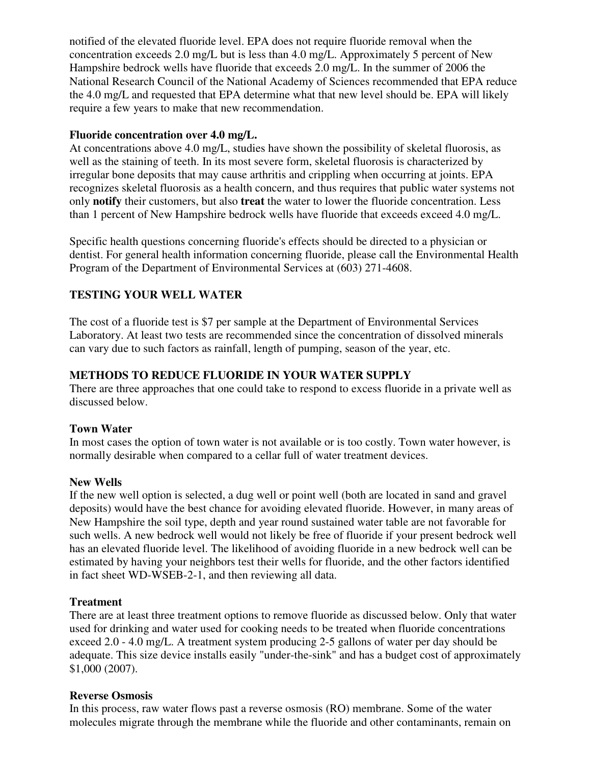notified of the elevated fluoride level. EPA does not require fluoride removal when the concentration exceeds 2.0 mg/L but is less than 4.0 mg/L. Approximately 5 percent of New Hampshire bedrock wells have fluoride that exceeds 2.0 mg/L. In the summer of 2006 the National Research Council of the National Academy of Sciences recommended that EPA reduce the 4.0 mg/L and requested that EPA determine what that new level should be. EPA will likely require a few years to make that new recommendation.

#### **Fluoride concentration over 4.0 mg/L.**

At concentrations above 4.0 mg/L, studies have shown the possibility of skeletal fluorosis, as well as the staining of teeth. In its most severe form, skeletal fluorosis is characterized by irregular bone deposits that may cause arthritis and crippling when occurring at joints. EPA recognizes skeletal fluorosis as a health concern, and thus requires that public water systems not only **notify** their customers, but also **treat** the water to lower the fluoride concentration. Less than 1 percent of New Hampshire bedrock wells have fluoride that exceeds exceed 4.0 mg/L.

Specific health questions concerning fluoride's effects should be directed to a physician or dentist. For general health information concerning fluoride, please call the Environmental Health Program of the Department of Environmental Services at (603) 271-4608.

## **TESTING YOUR WELL WATER**

The cost of a fluoride test is \$7 per sample at the Department of Environmental Services Laboratory. At least two tests are recommended since the concentration of dissolved minerals can vary due to such factors as rainfall, length of pumping, season of the year, etc.

## **METHODS TO REDUCE FLUORIDE IN YOUR WATER SUPPLY**

There are three approaches that one could take to respond to excess fluoride in a private well as discussed below.

## **Town Water**

In most cases the option of town water is not available or is too costly. Town water however, is normally desirable when compared to a cellar full of water treatment devices.

## **New Wells**

If the new well option is selected, a dug well or point well (both are located in sand and gravel deposits) would have the best chance for avoiding elevated fluoride. However, in many areas of New Hampshire the soil type, depth and year round sustained water table are not favorable for such wells. A new bedrock well would not likely be free of fluoride if your present bedrock well has an elevated fluoride level. The likelihood of avoiding fluoride in a new bedrock well can be estimated by having your neighbors test their wells for fluoride, and the other factors identified in fact sheet WD-WSEB-2-1, and then reviewing all data.

## **Treatment**

There are at least three treatment options to remove fluoride as discussed below. Only that water used for drinking and water used for cooking needs to be treated when fluoride concentrations exceed 2.0 - 4.0 mg/L. A treatment system producing 2-5 gallons of water per day should be adequate. This size device installs easily "under-the-sink" and has a budget cost of approximately \$1,000 (2007).

## **Reverse Osmosis**

In this process, raw water flows past a reverse osmosis (RO) membrane. Some of the water molecules migrate through the membrane while the fluoride and other contaminants, remain on